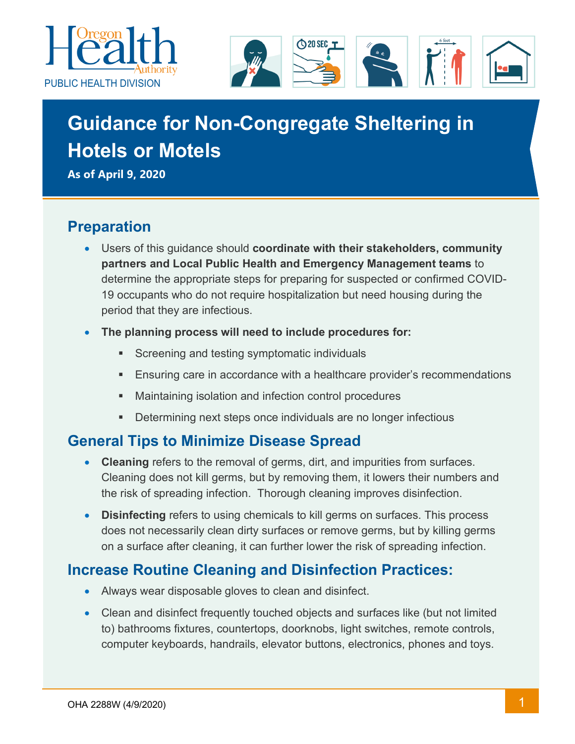



# **Guidance for Non-Congregate Sheltering in Hotels or Motels**

**As of April 9, 2020**

### **Preparation**

- Users of this guidance should **coordinate with their stakeholders, community partners and Local Public Health and Emergency Management teams** to determine the appropriate steps for preparing for suspected or confirmed COVID-19 occupants who do not require hospitalization but need housing during the period that they are infectious.
- **The planning process will need to include procedures for:**
	- **Screening and testing symptomatic individuals**
	- **Ensuring care in accordance with a healthcare provider's recommendations**
	- Maintaining isolation and infection control procedures
	- **Determining next steps once individuals are no longer infectious**

### **General Tips to Minimize Disease Spread**

- **Cleaning** refers to the removal of germs, dirt, and impurities from surfaces. Cleaning does not kill germs, but by removing them, it lowers their numbers and the risk of spreading infection. Thorough cleaning improves disinfection.
- **Disinfecting** refers to using chemicals to kill germs on surfaces. This process does not necessarily clean dirty surfaces or remove germs, but by killing germs on a surface after cleaning, it can further lower the risk of spreading infection.

# **Increase Routine Cleaning and Disinfection Practices:**

- Always wear disposable gloves to clean and disinfect.
- Clean and disinfect frequently touched objects and surfaces like (but not limited to) bathrooms fixtures, countertops, doorknobs, light switches, remote controls, computer keyboards, handrails, elevator buttons, electronics, phones and toys.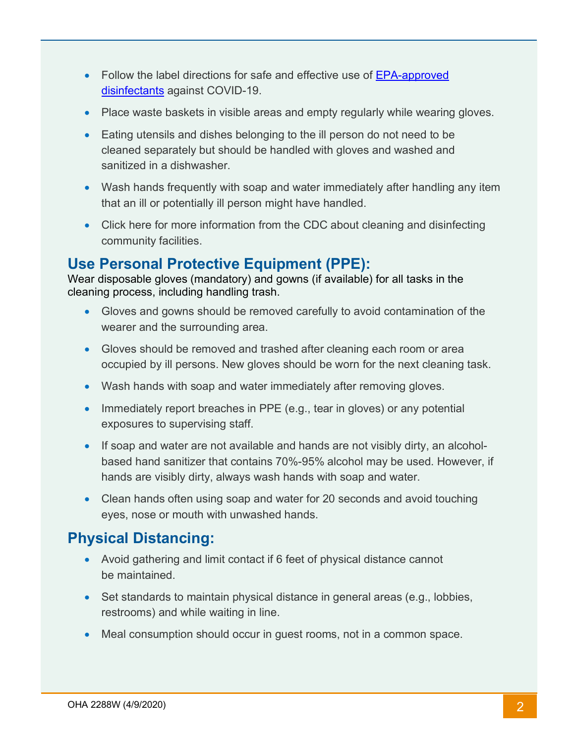- Follow the label directions for safe and effective use of **EPA-approved** [disinfectants](https://www.epa.gov/pesticide-registration/list-n-disinfectants-use-against-sars-cov-2) against COVID-19.
- Place waste baskets in visible areas and empty regularly while wearing gloves.
- Eating utensils and dishes belonging to the ill person do not need to be cleaned separately but should be handled with gloves and washed and sanitized in a dishwasher.
- Wash hands frequently with soap and water immediately after handling any item that an ill or potentially ill person might have handled.
- Click [here](https://www.cdc.gov/coronavirus/2019-ncov/community/organizations/cleaning-disinfection.html) for more information from the CDC about cleaning and disinfecting community facilities.

#### **Use Personal Protective Equipment (PPE):**

Wear disposable gloves (mandatory) and gowns (if available) for all tasks in the cleaning process, including handling trash.

- Gloves and gowns should be removed carefully to avoid contamination of the wearer and the surrounding area.
- Gloves should be removed and trashed after cleaning each room or area occupied by ill persons. New gloves should be worn for the next cleaning task.
- Wash hands with soap and water immediately after removing gloves.
- Immediately report breaches in PPE (e.g., tear in gloves) or any potential exposures to supervising staff.
- If soap and water are not available and hands are not visibly dirty, an alcoholbased hand sanitizer that contains 70%-95% alcohol may be used. However, if hands are visibly dirty, always wash hands with soap and water.
- [Clean h](https://www.cdc.gov/handwashing/when-how-handwashing.html)ands often using soap and water for 20 seconds and avoid touching eyes, nose or mouth with unwashed hands.

### **Physical Distancing:**

- Avoid gathering and limit contact if 6 feet of physical distance cannot be maintained.
- Set standards to maintain physical distance in general areas (e.g., lobbies, restrooms) and while waiting in line.
- Meal consumption should occur in guest rooms, not in a common space.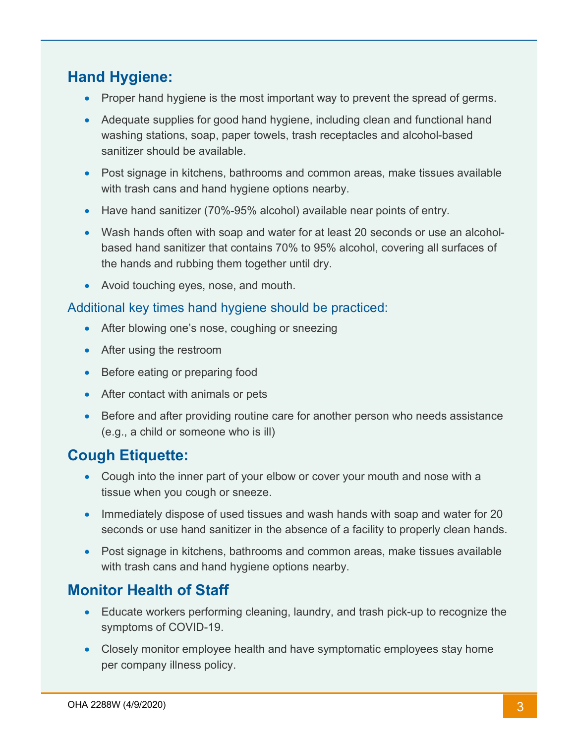# **Hand Hygiene:**

- Proper hand hygiene is the most important way to prevent the spread of germs.
- Adequate supplies for good hand hygiene, including clean and functional hand washing stations, soap, paper towels, trash receptacles and alcohol-based sanitizer should be available.
- Post signage in kitchens, bathrooms and common areas, make tissues available with trash cans and hand hygiene options nearby.
- Have hand sanitizer (70%-95% alcohol) available near points of entry.
- Wash hands often with soap and water for at least 20 seconds or use an alcoholbased hand sanitizer that contains 70% to 95% alcohol, covering all surfaces of the hands and rubbing them together until dry.
- Avoid touching eyes, nose, and mouth.

#### Additional key times hand hygiene should be practiced:

- After blowing one's nose, coughing or sneezing
- After using the restroom
- Before eating or preparing food
- After contact with animals or pets
- Before and after providing routine care for another person who needs assistance (e.g., a child or someone who is ill)

# **Cough Etiquette:**

- Cough into the inner part of your elbow or cover your mouth and nose with a tissue when you cough or sneeze.
- Immediately dispose of used tissues and wash hands with soap and water for 20 seconds or use hand sanitizer in the absence of a facility to properly clean hands.
- Post signage in kitchens, bathrooms and common areas, make tissues available with trash cans and hand hygiene options nearby.

# **Monitor Health of Staff**

- Educate workers performing cleaning, laundry, and trash pick-up to recognize the symptoms of COVID-19.
- Closely monitor employee health and have symptomatic employees stay home per company illness policy.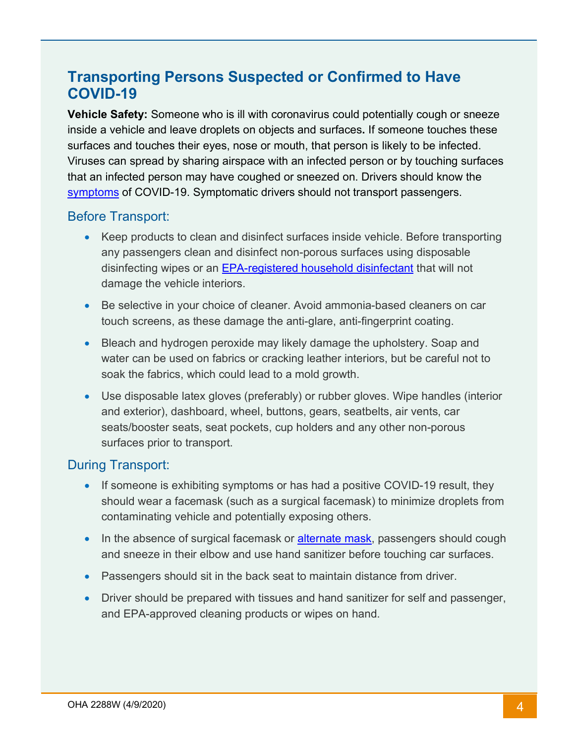# **Transporting Persons Suspected or Confirmed to Have COVID-19**

**Vehicle Safety:** Someone who is ill with coronavirus could potentially cough or sneeze inside a vehicle and leave droplets on objects and surfaces**.** If someone touches these surfaces and touches their eyes, nose or mouth, that person is likely to be infected. Viruses can spread by sharing airspace with an infected person or by touching surfaces that an infected person may have coughed or sneezed on. Drivers should know the [symptoms](https://www.cdc.gov/coronavirus/2019-ncov/symptoms-testing/symptoms.html) of COVID-19. Symptomatic drivers should not transport passengers.

#### Before Transport:

- Keep products to clean and disinfect surfaces inside vehicle. Before transporting any passengers clean and disinfect non-porous surfaces using disposable disinfecting wipes or an **EPA-registered household disinfectant** that will not damage the vehicle interiors.
- Be selective in your choice of cleaner. Avoid ammonia-based cleaners on car touch screens, as these damage the anti-glare, anti-fingerprint coating.
- Bleach and hydrogen peroxide may likely damage the upholstery. Soap and water can be used on fabrics or cracking leather interiors, but be careful not to soak the fabrics, which could lead to a mold growth.
- Use disposable latex gloves (preferably) or rubber gloves. Wipe handles (interior and exterior), dashboard, wheel, buttons, gears, seatbelts, air vents, car seats/booster seats, seat pockets, cup holders and any other non-porous surfaces prior to transport.

#### During Transport:

- If someone is exhibiting symptoms or has had a positive COVID-19 result, they should wear a facemask (such as a surgical facemask) to minimize droplets from contaminating vehicle and potentially exposing others.
- In the absence of surgical facemask or [alternate mask,](https://www.cdc.gov/coronavirus/2019-ncov/hcp/ppe-strategy/face-masks.html) passengers should cough and sneeze in their elbow and use hand sanitizer before touching car surfaces.
- Passengers should sit in the back seat to maintain distance from driver.
- Driver should be prepared with tissues and hand sanitizer for self and passenger, and EPA-approved cleaning products or wipes on hand.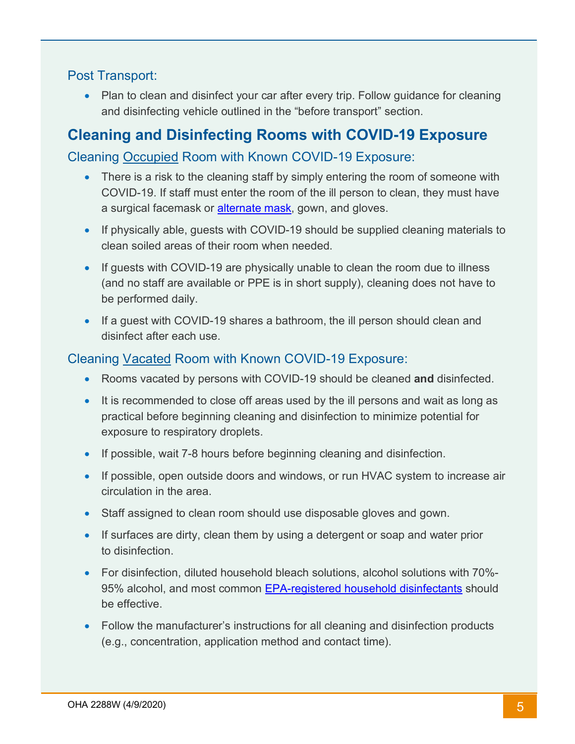#### Post Transport:

• Plan to clean and disinfect your car after every trip. Follow quidance for cleaning and disinfecting vehicle outlined in the "before transport" section.

#### **Cleaning and Disinfecting Rooms with COVID-19 Exposure**

#### Cleaning Occupied Room with Known COVID-19 Exposure:

- There is a risk to the cleaning staff by simply entering the room of someone with COVID-19. If staff must enter the room of the ill person to clean, they must have a surgical facemask or [alternate mask,](https://www.cdc.gov/coronavirus/2019-ncov/hcp/ppe-strategy/face-masks.html) gown, and gloves.
- If physically able, guests with COVID-19 should be supplied cleaning materials to clean soiled areas of their room when needed.
- If guests with COVID-19 are physically unable to clean the room due to illness (and no staff are available or PPE is in short supply), cleaning does not have to be performed daily.
- If a guest with COVID-19 shares a bathroom, the ill person should clean and disinfect after each use.

#### Cleaning Vacated Room with Known COVID-19 Exposure:

- Rooms vacated by persons with COVID-19 should be cleaned **and** disinfected.
- It is recommended to close off areas used by the ill persons and wait as long as practical before beginning cleaning and disinfection to minimize potential for exposure to respiratory droplets.
- If possible, wait 7-8 hours before beginning cleaning and disinfection.
- If possible, open outside doors and windows, or run HVAC system to increase air circulation in the area.
- Staff assigned to clean room should use disposable gloves and gown.
- If surfaces are dirty, clean them by using a detergent or soap and water prior to disinfection.
- For disinfection, diluted household bleach solutions, alcohol solutions with 70%- 95% alcohol, and most common **EPA-registered household disinfectants** should be effective.
- Follow the manufacturer's instructions for all cleaning and disinfection products (e.g., concentration, application method and contact time).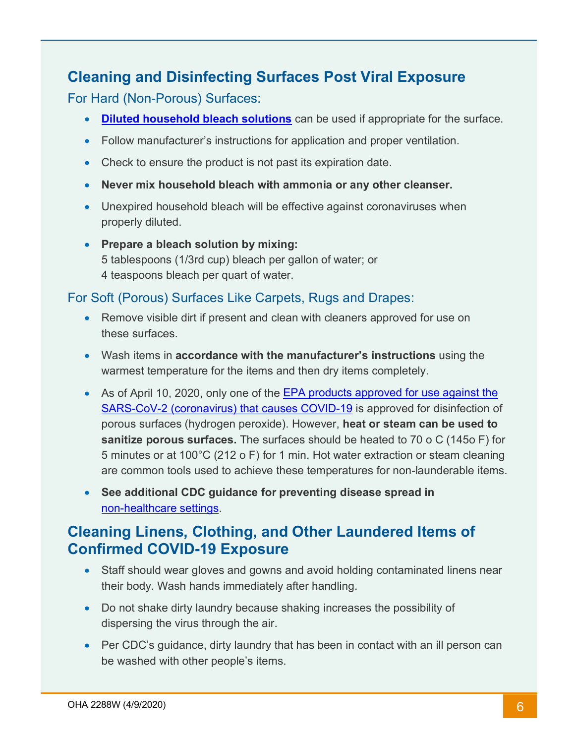# **Cleaning and Disinfecting Surfaces Post Viral Exposure**

For Hard (Non-Porous) Surfaces:

- **[Diluted household bleach solutions](https://www.cdc.gov/healthywater/emergency/cleaning-sanitizing/household-cleaning-sanitizing.html)** can be used if appropriate for the surface.
- Follow manufacturer's instructions for application and proper ventilation.
- Check to ensure the product is not past its expiration date.
- **Never mix household bleach with ammonia or any other cleanser.**
- Unexpired household bleach will be effective against coronaviruses when properly diluted.
- **Prepare a bleach solution by mixing:** 5 tablespoons (1/3rd cup) bleach per gallon of water; or 4 teaspoons bleach per quart of water.

#### For Soft (Porous) Surfaces Like Carpets, Rugs and Drapes:

- Remove visible dirt if present and clean with cleaners approved for use on these surfaces.
- Wash items in **accordance with the manufacturer's instructions** using the warmest temperature for the items and then dry items completely.
- As of April 10, 2020, only one of the EPA products approved for use against the [SARS-CoV-2 \(coronavirus\) that causes COVID-19](https://www.epa.gov/pesticide-registration/list-n-disinfectants-use-against-sars-cov-2) is approved for disinfection of porous surfaces (hydrogen peroxide). However, **heat or steam can be used to sanitize porous surfaces.** The surfaces should be heated to 70 o C (145o F) for 5 minutes or at 100°C (212 o F) for 1 min. Hot water extraction or steam cleaning are common tools used to achieve these temperatures for non-launderable items.
- **See additional CDC guidance for preventing disease spread in** [non-healthcare settings.](https://www.cdc.gov/coronavirus/2019-ncov/hcp/guidance-prevent-spread.html)

### **Cleaning Linens, Clothing, and Other Laundered Items of Confirmed COVID-19 Exposure**

- Staff should wear gloves and gowns and avoid holding contaminated linens near their body. Wash hands immediately after handling.
- Do not shake dirty laundry because shaking increases the possibility of dispersing the virus through the air.
- Per CDC's guidance, dirty laundry that has been in contact with an ill person can be washed with other people's items.